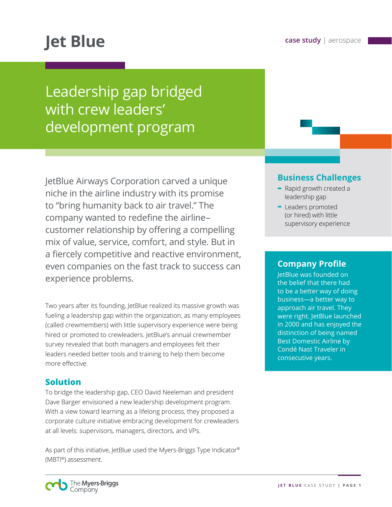# **case study** | aerospace **Jet Blue**

## Leadership gap bridged with crew leaders' development program

JetBlue Airways Corporation carved a unique niche in the airline industry with its promise to "bring humanity back to air travel." The company wanted to redefine the airline– customer relationship by offering a compelling mix of value, service, comfort, and style. But in a fiercely competitive and reactive environment, even companies on the fast track to success can experience problems.

Two years after its founding, JetBlue realized its massive growth was fueling a leadership gap within the organization, as many employees (called crewmembers) with little supervisory experience were being hired or promoted to crewleaders. JetBlue's annual crewmember survey revealed that both managers and employees felt their leaders needed better tools and training to help them become more effective.

### **Solution**

To bridge the leadership gap, CEO David Neeleman and president Dave Barger envisioned a new leadership development program. With a view toward learning as a lifelong process, they proposed a corporate culture initiative embracing development for crewleaders at all levels: supervisors, managers, directors, and VPs.

As part of this initiative, JetBlue used the Myers-Briggs Type Indicator® (MBTI®) assessment.

## **Business Challenges**

- **-** Rapid growth created a leadership gap
- **-** Leaders promoted (or hired) with little supervisory experience

#### **Company Profile**

JetBlue was founded on the belief that there had to be a better way of doing business—a better way to approach air travel. They were right. JetBlue launched in 2000 and has enjoyed the distinction of being named Best Domestic Airline by Condé Nast Traveler in consecutive years.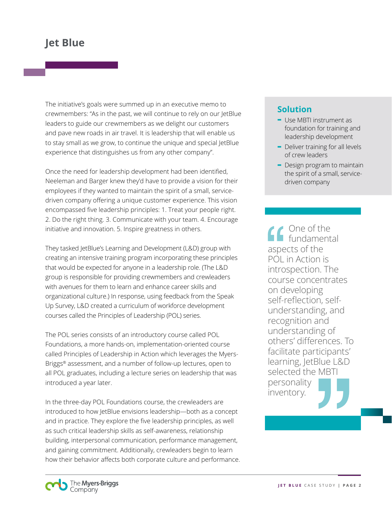The initiative's goals were summed up in an executive memo to crewmembers: "As in the past, we will continue to rely on our JetBlue leaders to guide our crewmembers as we delight our customers and pave new roads in air travel. It is leadership that will enable us to stay small as we grow, to continue the unique and special JetBlue experience that distinguishes us from any other company".

Once the need for leadership development had been identified, Neeleman and Barger knew they'd have to provide a vision for their employees if they wanted to maintain the spirit of a small, servicedriven company offering a unique customer experience. This vision encompassed five leadership principles: 1. Treat your people right. 2. Do the right thing. 3. Communicate with your team. 4. Encourage initiative and innovation. 5. Inspire greatness in others.

They tasked JetBlue's Learning and Development (L&D) group with creating an intensive training program incorporating these principles that would be expected for anyone in a leadership role. (The L&D group is responsible for providing crewmembers and crewleaders with avenues for them to learn and enhance career skills and organizational culture.) In response, using feedback from the Speak Up Survey, L&D created a curriculum of workforce development courses called the Principles of Leadership (POL) series.

The POL series consists of an introductory course called POL Foundations, a more hands-on, implementation-oriented course called Principles of Leadership in Action which leverages the Myers-Briggs® assessment, and a number of follow-up lectures, open to all POL graduates, including a lecture series on leadership that was introduced a year later.

In the three-day POL Foundations course, the crewleaders are introduced to how JetBlue envisions leadership—both as a concept and in practice. They explore the five leadership principles, as well as such critical leadership skills as self-awareness, relationship building, interpersonal communication, performance management, and gaining commitment. Additionally, crewleaders begin to learn how their behavior affects both corporate culture and performance.

#### **Solution**

- **-** Use MBTI instrument as foundation for training and leadership development
- **-** Deliver training for all levels of crew leaders
- **-** Design program to maintain the spirit of a small, servicedriven company

**Cone of the fundamental** aspects of the POL in Action is introspection. The course concentrates on developing self-reflection, selfunderstanding, and recognition and understanding of others' differences. To facilitate participants' learning, JetBlue L&D selected the MBTI personality inventory.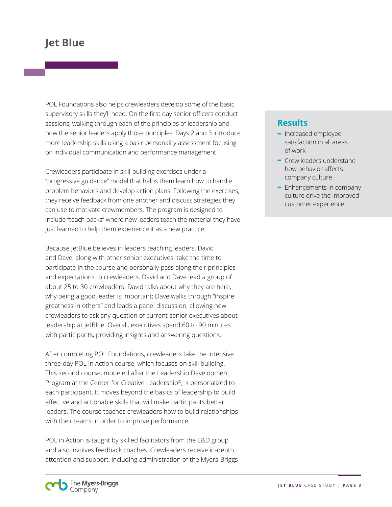POL Foundations also helps crewleaders develop some of the basic supervisory skills they'll need. On the first day senior officers conduct sessions, walking through each of the principles of leadership and how the senior leaders apply those principles. Days 2 and 3 introduce more leadership skills using a basic personality assessment focusing on individual communication and performance management.

Crewleaders participate in skill-building exercises under a "progressive guidance" model that helps them learn how to handle problem behaviors and develop action plans. Following the exercises, they receive feedback from one another and discuss strategies they can use to motivate crewmembers. The program is designed to include "teach backs" where new leaders teach the material they have just learned to help them experience it as a new practice.

Because JetBlue believes in leaders teaching leaders, David and Dave, along with other senior executives, take the time to participate in the course and personally pass along their principles and expectations to crewleaders. David and Dave lead a group of about 25 to 30 crewleaders. David talks about why they are here, why being a good leader is important; Dave walks through "inspire greatness in others" and leads a panel discussion, allowing new crewleaders to ask any question of current senior executives about leadership at JetBlue. Overall, executives spend 60 to 90 minutes with participants, providing insights and answering questions.

After completing POL Foundations, crewleaders take the intensive three-day POL in Action course, which focuses on skill building. This second course, modeled after the Leadership Development Program at the Center for Creative Leadership®, is personalized to each participant. It moves beyond the basics of leadership to build effective and actionable skills that will make participants better leaders. The course teaches crewleaders how to build relationships with their teams in order to improve performance.

POL in Action is taught by skilled facilitators from the L&D group and also involves feedback coaches. Crewleaders receive in-depth attention and support, including administration of the Myers-Briggs

#### **Results**

- **-** Increased employee satisfaction in all areas of work
- **-** Crew leaders understand how behavior affects company culture
- **-** Enhancements in company culture drive the improved customer experience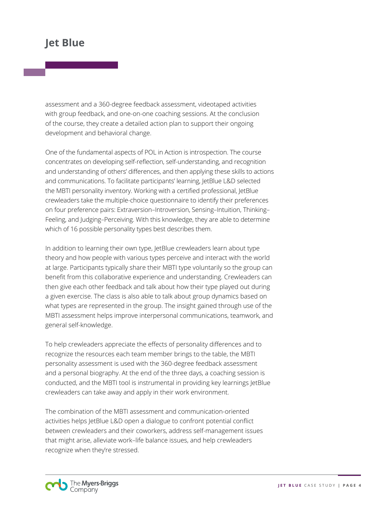assessment and a 360-degree feedback assessment, videotaped activities with group feedback, and one-on-one coaching sessions. At the conclusion of the course, they create a detailed action plan to support their ongoing development and behavioral change.

One of the fundamental aspects of POL in Action is introspection. The course concentrates on developing self-reflection, self-understanding, and recognition and understanding of others' differences, and then applying these skills to actions and communications. To facilitate participants' learning, JetBlue L&D selected the MBTI personality inventory. Working with a certified professional, JetBlue crewleaders take the multiple-choice questionnaire to identify their preferences on four preference pairs: Extraversion–Introversion, Sensing–Intuition, Thinking– Feeling, and Judging–Perceiving. With this knowledge, they are able to determine which of 16 possible personality types best describes them.

In addition to learning their own type, JetBlue crewleaders learn about type theory and how people with various types perceive and interact with the world at large. Participants typically share their MBTI type voluntarily so the group can benefit from this collaborative experience and understanding. Crewleaders can then give each other feedback and talk about how their type played out during a given exercise. The class is also able to talk about group dynamics based on what types are represented in the group. The insight gained through use of the MBTI assessment helps improve interpersonal communications, teamwork, and general self-knowledge.

To help crewleaders appreciate the effects of personality differences and to recognize the resources each team member brings to the table, the MBTI personality assessment is used with the 360-degree feedback assessment and a personal biography. At the end of the three days, a coaching session is conducted, and the MBTI tool is instrumental in providing key learnings JetBlue crewleaders can take away and apply in their work environment.

The combination of the MBTI assessment and communication-oriented activities helps JetBlue L&D open a dialogue to confront potential conflict between crewleaders and their coworkers, address self-management issues that might arise, alleviate work–life balance issues, and help crewleaders recognize when they're stressed.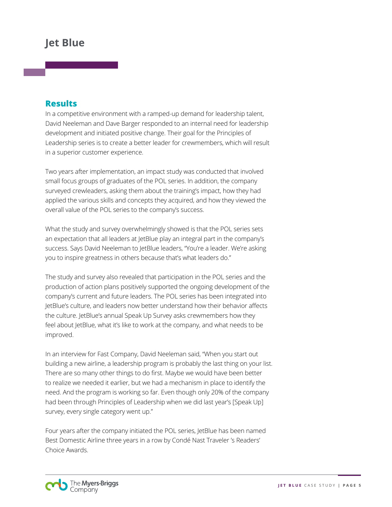#### **Results**

In a competitive environment with a ramped-up demand for leadership talent, David Neeleman and Dave Barger responded to an internal need for leadership development and initiated positive change. Their goal for the Principles of Leadership series is to create a better leader for crewmembers, which will result in a superior customer experience.

Two years after implementation, an impact study was conducted that involved small focus groups of graduates of the POL series. In addition, the company surveyed crewleaders, asking them about the training's impact, how they had applied the various skills and concepts they acquired, and how they viewed the overall value of the POL series to the company's success.

What the study and survey overwhelmingly showed is that the POL series sets an expectation that all leaders at JetBlue play an integral part in the company's success. Says David Neeleman to JetBlue leaders, "You're a leader. We're asking you to inspire greatness in others because that's what leaders do."

The study and survey also revealed that participation in the POL series and the production of action plans positively supported the ongoing development of the company's current and future leaders. The POL series has been integrated into JetBlue's culture, and leaders now better understand how their behavior affects the culture. JetBlue's annual Speak Up Survey asks crewmembers how they feel about JetBlue, what it's like to work at the company, and what needs to be improved.

In an interview for Fast Company, David Neeleman said, "When you start out building a new airline, a leadership program is probably the last thing on your list. There are so many other things to do first. Maybe we would have been better to realize we needed it earlier, but we had a mechanism in place to identify the need. And the program is working so far. Even though only 20% of the company had been through Principles of Leadership when we did last year's [Speak Up] survey, every single category went up."

Four years after the company initiated the POL series, JetBlue has been named Best Domestic Airline three years in a row by Condé Nast Traveler 's Readers' Choice Awards.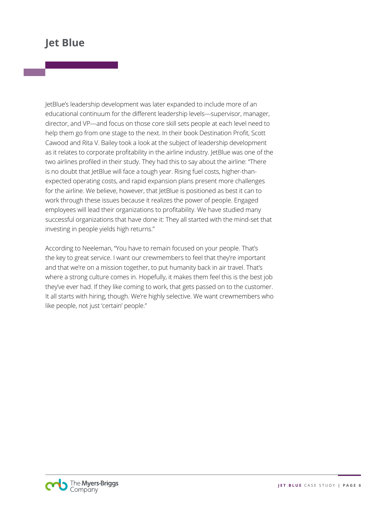JetBlue's leadership development was later expanded to include more of an educational continuum for the different leadership levels—supervisor, manager, director, and VP—and focus on those core skill sets people at each level need to help them go from one stage to the next. In their book Destination Profit, Scott Cawood and Rita V. Bailey took a look at the subject of leadership development as it relates to corporate profitability in the airline industry. JetBlue was one of the two airlines profiled in their study. They had this to say about the airline: "There is no doubt that JetBlue will face a tough year. Rising fuel costs, higher-thanexpected operating costs, and rapid expansion plans present more challenges for the airline. We believe, however, that letBlue is positioned as best it can to work through these issues because it realizes the power of people. Engaged employees will lead their organizations to profitability. We have studied many successful organizations that have done it: They all started with the mind-set that investing in people yields high returns."

According to Neeleman, "You have to remain focused on your people. That's the key to great service. I want our crewmembers to feel that they're important and that we're on a mission together, to put humanity back in air travel. That's where a strong culture comes in. Hopefully, it makes them feel this is the best job they've ever had. If they like coming to work, that gets passed on to the customer. It all starts with hiring, though. We're highly selective. We want crewmembers who like people, not just 'certain' people."